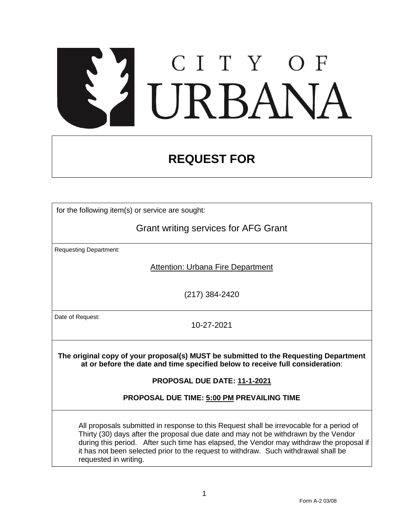# CITY OF<br>URBANZ

# **REQUEST FOR**

for the following item(s) or service are sought*:*

Grant writing services for AFG Grant

Requesting Department:

Attention: Urbana Fire Department

(217) 384-2420

Date of Request:

10-27-2021

**The original copy of your proposal(s) MUST be submitted to the Requesting Department at or before the date and time specified below to receive full consideration**:

**PROPOSAL DUE DATE: 11-1-2021**

**PROPOSAL DUE TIME: 5:00 PM PREVAILING TIME**

All proposals submitted in response to this Request shall be irrevocable for a period of Thirty (30) days after the proposal due date and may not be withdrawn by the Vendor during this period. After such time has elapsed, the Vendor may withdraw the proposal if it has not been selected prior to the request to withdraw. Such withdrawal shall be requested in writing.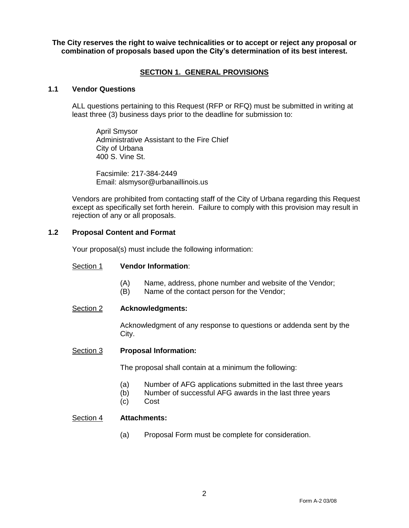**The City reserves the right to waive technicalities or to accept or reject any proposal or combination of proposals based upon the City's determination of its best interest.**

# **SECTION 1. GENERAL PROVISIONS**

#### **1.1 Vendor Questions**

ALL questions pertaining to this Request (RFP or RFQ) must be submitted in writing at least three (3) business days prior to the deadline for submission to:

April Smysor Administrative Assistant to the Fire Chief City of Urbana 400 S. Vine St.

Facsimile: 217-384-2449 Email: alsmysor@urbanaillinois.us

Vendors are prohibited from contacting staff of the City of Urbana regarding this Request except as specifically set forth herein. Failure to comply with this provision may result in rejection of any or all proposals.

# **1.2 Proposal Content and Format**

Your proposal(s) must include the following information:

#### Section 1 **Vendor Information**:

- (A) Name, address, phone number and website of the Vendor;
- (B) Name of the contact person for the Vendor;

#### Section 2 **Acknowledgments:**

Acknowledgment of any response to questions or addenda sent by the City.

#### Section 3 **Proposal Information:**

The proposal shall contain at a minimum the following:

- (a) Number of AFG applications submitted in the last three years
- (b) Number of successful AFG awards in the last three years
- (c) Cost

# Section 4 **Attachments:**

(a) Proposal Form must be complete for consideration.